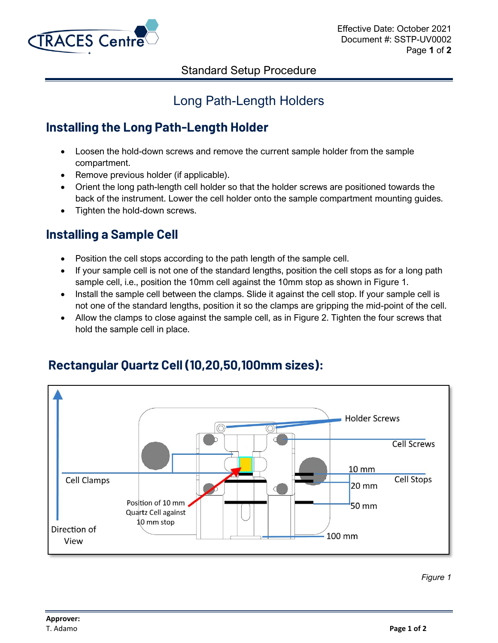

#### Standard Setup Procedure

# Long Path-Length Holders

## **Installing the Long Path-Length Holder**

- Loosen the hold-down screws and remove the current sample holder from the sample compartment.
- Remove previous holder (if applicable).
- Orient the long path-length cell holder so that the holder screws are positioned towards the back of the instrument. Lower the cell holder onto the sample compartment mounting guides.
- Tighten the hold-down screws.

### **Installing a Sample Cell**

- Position the cell stops according to the path length of the sample cell.
- If your sample cell is not one of the standard lengths, position the cell stops as for a long path sample cell, i.e., position the 10mm cell against the 10mm stop as shown in Figure 1.
- Install the sample cell between the clamps. Slide it against the cell stop. If your sample cell is not one of the standard lengths, position it so the clamps are gripping the mid-point of the cell.
- Allow the clamps to close against the sample cell, as in Figure 2. Tighten the four screws that hold the sample cell in place.



## **Rectangular Quartz Cell (10,20,50,100mm sizes):**

*Figure 1*